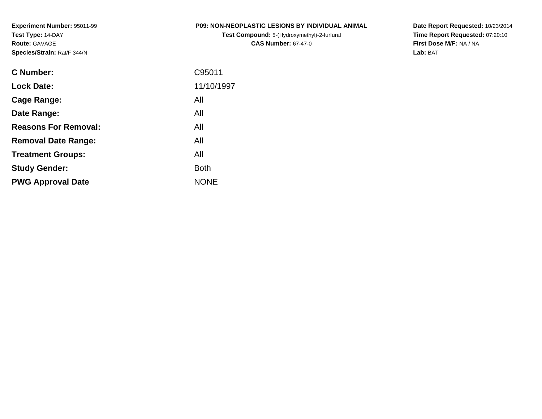**Experiment Number:** 95011-99**Test Type:** 14-DAY**Route:** GAVAGE**Species/Strain:** Rat/F 344/N

## **P09: NON-NEOPLASTIC LESIONS BY INDIVIDUAL ANIMAL**

**Test Compound:** 5-(Hydroxymethyl)-2-furfural **CAS Number:** 67-47-0

**Date Report Requested:** 10/23/2014 **Time Report Requested:** 07:20:10**First Dose M/F:** NA / NA**Lab:** BAT

| <b>Lock Date:</b><br>All<br>Cage Range:<br>All<br>Date Range:<br><b>Reasons For Removal:</b><br>All<br>All<br><b>Removal Date Range:</b><br>All<br><b>Treatment Groups:</b><br><b>Both</b><br><b>Study Gender:</b><br><b>NONE</b><br><b>PWG Approval Date</b> | <b>C</b> Number: | C95011     |
|---------------------------------------------------------------------------------------------------------------------------------------------------------------------------------------------------------------------------------------------------------------|------------------|------------|
|                                                                                                                                                                                                                                                               |                  | 11/10/1997 |
|                                                                                                                                                                                                                                                               |                  |            |
|                                                                                                                                                                                                                                                               |                  |            |
|                                                                                                                                                                                                                                                               |                  |            |
|                                                                                                                                                                                                                                                               |                  |            |
|                                                                                                                                                                                                                                                               |                  |            |
|                                                                                                                                                                                                                                                               |                  |            |
|                                                                                                                                                                                                                                                               |                  |            |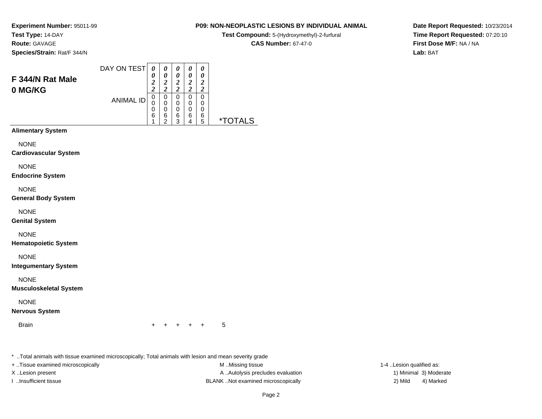**Experiment Number:** 95011-99**Test Type:** 14-DAY

**Route:** GAVAGE

**Species/Strain:** Rat/F 344/N

# **P09: NON-NEOPLASTIC LESIONS BY INDIVIDUAL ANIMAL**

 $\overline{\phantom{0}}$ 

**Test Compound:** 5-(Hydroxymethyl)-2-furfural

**CAS Number:** 67-47-0

**Date Report Requested:** 10/23/2014**Time Report Requested:** 07:20:10**First Dose M/F:** NA / NA**Lab:** BAT

| F 344/N Rat Male<br>0 MG/KG | DAY ON TEST      | 0<br>0<br>$\boldsymbol{2}$<br>2    | 0<br>0<br>$\overline{c}$<br>7<br>∠ | 0<br>0<br>2<br>2      | 0<br>0<br>2<br>ി | 0<br>0<br>2<br>2      |    |
|-----------------------------|------------------|------------------------------------|------------------------------------|-----------------------|------------------|-----------------------|----|
|                             | <b>ANIMAL ID</b> | 0<br>0<br>0<br>6<br>$\overline{A}$ | 0<br>0<br>0<br>6<br>ົ              | 0<br>0<br>0<br>6<br>2 | 0<br>0<br>0<br>6 | 0<br>0<br>0<br>6<br>5 | ** |
| <b>Alimentary System</b>    |                  |                                    |                                    |                       |                  |                       |    |

**NONE** 

**Cardiovascular System**

NONE

**Endocrine System**

NONE

**General Body System**

NONE

**Genital System**

NONE

**Hematopoietic System**

NONE

**Integumentary System**

NONE

**Musculoskeletal System**

NONE

**Nervous System**

**Brain** 

n  $+$ <sup>+</sup> <sup>+</sup> <sup>+</sup> + 5

\* ..Total animals with tissue examined microscopically; Total animals with lesion and mean severity grade

+ ..Tissue examined microscopically examined microscopically examined as:  $M$  ..Missing tissue 1-4 ..Lesion qualified as: X..Lesion present **A ..Autolysis precludes evaluation** A ..Autolysis precludes evaluation 1) Minimal 3) Moderate I ..Insufficient tissue BLANK ..Not examined microscopically 2) Mild 4) Marked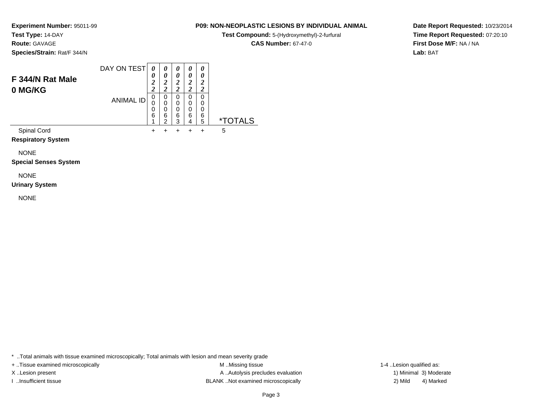**Experiment Number:** 95011-99

**Test Type:** 14-DAY

**Route:** GAVAGE

**Species/Strain:** Rat/F 344/N

### DAY ON TEST**F 344/N Rat Male0 MG/KG**ANIMAL ID*0 0 2 2*0<br>0<br>0<br>0<br>6<br>1  $+$ *0 0 2 2*0<br>0<br>0<br>0<br>0<br>2  $+$ *0 0 2 2* 0 0 0 6 3 $\ddot{}$ *0 0 2 2* 0 0 0 6 4 $\ddot{}$ *0 0 2 2* 0 0 06<br>ء 5 \*TOTALSSpinal Cord $\alpha$  + <sup>+</sup> <sup>+</sup> <sup>+</sup> + 5

**Respiratory System**

NONE

**Special Senses System**

NONE

**Urinary System**

NONE

\* ..Total animals with tissue examined microscopically; Total animals with lesion and mean severity grade

+ ..Tissue examined microscopically examined microscopically examined as:  $M$  ..Missing tissue 1-4 ..Lesion qualified as: X..Lesion present **A ..Autolysis precludes evaluation** A ..Autolysis precludes evaluation 1) Minimal 3) Moderate I ..Insufficient tissue BLANK ..Not examined microscopically 2) Mild 4) Marked

## Page 3

**Date Report Requested:** 10/23/2014**Time Report Requested:** 07:20:10**First Dose M/F:** NA / NA**Lab:** BAT

# **P09: NON-NEOPLASTIC LESIONS BY INDIVIDUAL ANIMAL**

**Test Compound:** 5-(Hydroxymethyl)-2-furfural

**CAS Number:** 67-47-0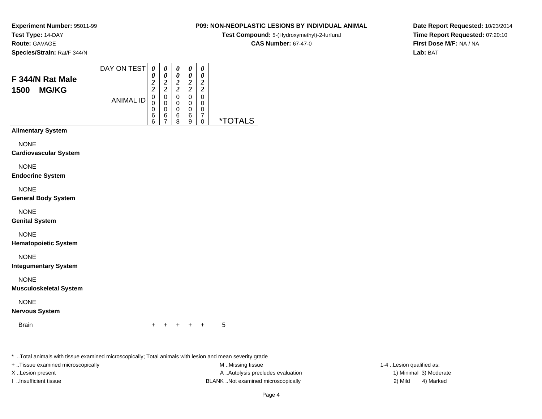**P09: NON-NEOPLASTIC LESIONS BY INDIVIDUAL ANIMAL**

**Test Compound:** 5-(Hydroxymethyl)-2-furfural

**CAS Number:** 67-47-0

**Date Report Requested:** 10/23/2014**Time Report Requested:** 07:20:10**First Dose M/F:** NA / NA**Lab:** BAT

**Experiment Number:** 95011-99**Test Type:** 14-DAY**Route:** GAVAGE**Species/Strain:** Rat/F 344/N

|                          | DAY ON TEST      |                |        | 0 | 0           | 0 |                       |
|--------------------------|------------------|----------------|--------|---|-------------|---|-----------------------|
|                          |                  | 0              | 0      | 0 | 0           | 0 |                       |
| F 344/N Rat Male         |                  | $\overline{2}$ | ኅ<br>∠ | 2 | 2           | 2 |                       |
| <b>MG/KG</b><br>1500     |                  | 7              | ኅ<br>◢ | າ | 2           | 2 |                       |
|                          |                  | 0              | 0      | 0 | 0           | 0 |                       |
|                          | <b>ANIMAL ID</b> |                | 0      | 0 | $\mathbf 0$ | 0 |                       |
|                          |                  | 0              | 0      | 0 | 0           | 0 |                       |
|                          |                  | 6              | 6      | 6 | 6           | ⇁ |                       |
|                          |                  | 6              |        | 8 | 9           | 0 | <i><b>*TOTALS</b></i> |
| <b>Alimentary System</b> |                  |                |        |   |             |   |                       |

**Alimentary System**

NONE

**Cardiovascular System**

NONE

**Endocrine System**

NONE

**General Body System**

NONE

**Genital System**

NONE

**Hematopoietic System**

NONE

**Integumentary System**

NONE

**Musculoskeletal System**

NONE

**Nervous System**

**Brain** 

n  $+$ <sup>+</sup> <sup>+</sup> <sup>+</sup> + 5

\* ..Total animals with tissue examined microscopically; Total animals with lesion and mean severity grade

+ ..Tissue examined microscopically examined microscopically examined as:  $M$  ..Missing tissue 1-4 ..Lesion qualified as: X..Lesion present **A ..Autolysis precludes evaluation** A ..Autolysis precludes evaluation 1) Minimal 3) Moderate I ..Insufficient tissue BLANK ..Not examined microscopically 2) Mild 4) Marked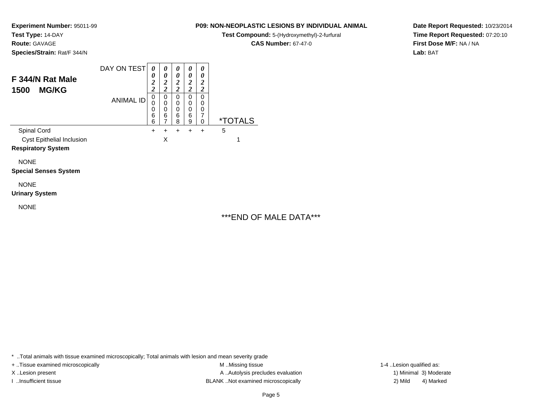**Experiment Number:** 95011-99

**Test Type:** 14-DAY**Route:** GAVAGE

**Species/Strain:** Rat/F 344/N

### DAY ON TEST**F 344/N Rat Male1500 MG/KG**ANIMAL ID*0 0 2 2* 0 0 0 6 6 $\ddot{}$ *0 0 2 2*0<br>0<br>0<br>0<br>6<br>7  $\ddot{}$ *0 0 2 2* 0 0 0 6 8 $\ddot{}$ *0 0 2 2* 0 0 0 6 9 $\ddot{}$ *0 0 2 2* 0 00<br>7<br>^ 0 \*TOTALSSpinal Cord $\alpha$  + <sup>+</sup> <sup>+</sup> <sup>+</sup> + 5 Cyst Epithelial Inclusionn X  $\mathsf{X}$  and  $\mathsf{Y}$  and  $\mathsf{Y}$  and  $\mathsf{Y}$  and  $\mathsf{Y}$  and  $\mathsf{Y}$  and  $\mathsf{Y}$  and  $\mathsf{Y}$  and  $\mathsf{Y}$  and  $\mathsf{Y}$  and  $\mathsf{Y}$  and  $\mathsf{Y}$  and  $\mathsf{Y}$  and  $\mathsf{Y}$  and  $\mathsf{Y}$  and  $\mathsf{Y}$  and  $\mathsf{Y}$  and

**Respiratory System**

NONE**Special Senses System**

NONE

**Urinary System**

NONE

# \*\*\*END OF MALE DATA\*\*\*

\* ..Total animals with tissue examined microscopically; Total animals with lesion and mean severity grade

+ ..Tissue examined microscopically examined microscopically examined as:  $M$  ..Missing tissue 1-4 ..Lesion qualified as: X..Lesion present **A ..**Autolysis precludes evaluation A ..Autolysis precludes evaluation 1) Minimal 3) Moderate I ..Insufficient tissue BLANK ..Not examined microscopically 2) Mild 4) Marked

**Date Report Requested:** 10/23/2014**Time Report Requested:** 07:20:10**First Dose M/F:** NA / NA**Lab:** BAT

# **P09: NON-NEOPLASTIC LESIONS BY INDIVIDUAL ANIMAL**

**Test Compound:** 5-(Hydroxymethyl)-2-furfural

**CAS Number:** 67-47-0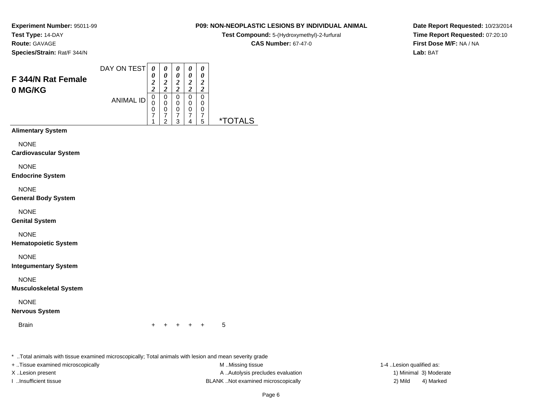**Experiment Number:** 95011-99**Test Type:** 14-DAY

**Route:** GAVAGE

**Species/Strain:** Rat/F 344/N

## **P09: NON-NEOPLASTIC LESIONS BY INDIVIDUAL ANIMAL**

**Test Compound:** 5-(Hydroxymethyl)-2-furfural

**CAS Number:** 67-47-0

**Date Report Requested:** 10/23/2014**Time Report Requested:** 07:20:10**First Dose M/F:** NA / NA**Lab:** BAT

| F 344/N Rat Female<br>0 MG/KG | DAY ON TEST      | 0<br>0<br>$\boldsymbol{2}$<br>$\overline{\mathbf{2}}$ | 0<br>0<br>$\overline{\mathbf{2}}$<br>$\overline{c}$ | 0<br>0<br>2<br>2      | 0<br>0<br>2<br><u>ာ</u> | 0<br>0<br>2<br>2      |    |
|-------------------------------|------------------|-------------------------------------------------------|-----------------------------------------------------|-----------------------|-------------------------|-----------------------|----|
|                               | <b>ANIMAL ID</b> | 0<br>0<br>0<br>7<br>1                                 | 0<br>0<br>0<br>7<br>2                               | 0<br>0<br>0<br>7<br>3 | 0<br>0<br>0<br>7<br>4   | 0<br>0<br>0<br>7<br>5 | *" |
| <b>Alimentary System</b>      |                  |                                                       |                                                     |                       |                         |                       |    |
| NONE                          |                  |                                                       |                                                     |                       |                         |                       |    |

**Cardiovascular System**

NONE

**Endocrine System**

NONE

**General Body System**

NONE

**Genital System**

NONE

**Hematopoietic System**

NONE

**Integumentary System**

NONE

**Musculoskeletal System**

NONE

**Nervous System**

**Brain** 

n  $+$ <sup>+</sup> <sup>+</sup> <sup>+</sup> + 5

\* ..Total animals with tissue examined microscopically; Total animals with lesion and mean severity grade

+ ..Tissue examined microscopically examined microscopically examined as:  $M$  ..Missing tissue 1-4 ..Lesion qualified as: X..Lesion present **A ..Autolysis precludes evaluation** A ..Autolysis precludes evaluation 1) Minimal 3) Moderate I ..Insufficient tissue BLANK ..Not examined microscopically 2) Mild 4) Marked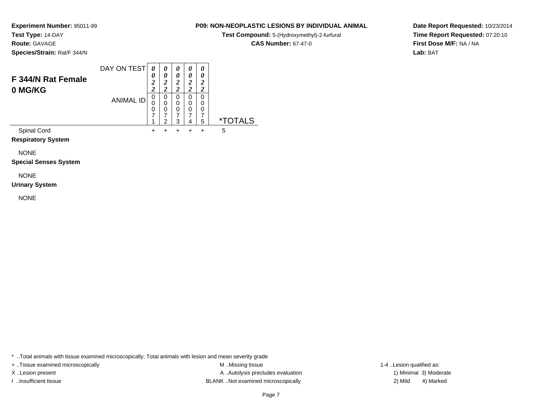**Experiment Number:** 95011-99

**Test Type:** 14-DAY

**Route:** GAVAGE

**Species/Strain:** Rat/F 344/N

### DAY ON TEST**F 344/N Rat Female0 MG/KG**ANIMAL ID*0 0 2 2*0<br>0<br>7<br>7 1 $+$ *0 0 2 2*0<br>0<br>0<br>7<br>2  $+$ *0 0 2 2* 0 0 0 7 3 $\ddot{}$ *0 0 2 2* 0 0 0 7 4 $+$ *0 0 2 2* 0 00<br>7<br>5 5 \*TOTALSSpinal Cord $\alpha$  + <sup>+</sup> <sup>+</sup> <sup>+</sup> + 5

**Respiratory System**

NONE

**Special Senses System**

NONE

**Urinary System**

NONE

\* ..Total animals with tissue examined microscopically; Total animals with lesion and mean severity grade

+ ..Tissue examined microscopically examined microscopically examined as:  $M$  ..Missing tissue 1-4 ..Lesion qualified as: X..Lesion present **A ..Autolysis precludes evaluation** A ..Autolysis precludes evaluation 1) Minimal 3) Moderate I ..Insufficient tissue BLANK ..Not examined microscopically 2) Mild 4) Marked

## Page 7

**P09: NON-NEOPLASTIC LESIONS BY INDIVIDUAL ANIMALTest Compound:** 5-(Hydroxymethyl)-2-furfural **CAS Number:** 67-47-0

**Date Report Requested:** 10/23/2014**Time Report Requested:** 07:20:10**First Dose M/F:** NA / NA**Lab:** BAT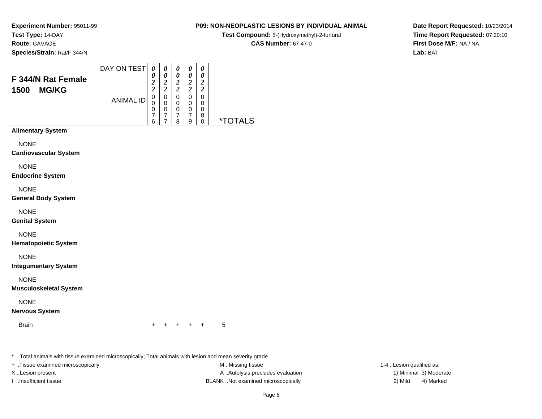**P09: NON-NEOPLASTIC LESIONS BY INDIVIDUAL ANIMAL**

**Test Compound:** 5-(Hydroxymethyl)-2-furfural **CAS Number:** 67-47-0

**Experiment Number:** 95011-99**Test Type:** 14-DAY

**Route:** GAVAGE

**Species/Strain:** Rat/F 344/N

|                      | DAY ON TEST      | 0        |   | 0 | $\theta$ | 0 |
|----------------------|------------------|----------|---|---|----------|---|
|                      |                  | 0        |   | 0 | 0        | 0 |
| F 344/N Rat Female   |                  | <u>า</u> |   | ာ | 2        | 2 |
| <b>MG/KG</b><br>1500 |                  | ኅ        |   | ി | ኅ        | 7 |
|                      |                  | 0        | 0 | 0 | 0        | 0 |
|                      | <b>ANIMAL ID</b> | 0        | 0 | 0 | 0        | 0 |
|                      |                  | 0        | 0 | 0 | 0        | 0 |
|                      |                  | 7        |   |   | ⇁        | 8 |
|                      |                  | 6        |   | 8 | 9        | 0 |

**Alimentary System**

NONE

**Cardiovascular System**

NONE

**Endocrine System**

NONE

**General Body System**

NONE

**Genital System**

NONE

**Hematopoietic System**

NONE

**Integumentary System**

NONE

**Musculoskeletal System**

NONE

**Nervous System**

**Brain** 

n  $+$ <sup>+</sup> <sup>+</sup> <sup>+</sup> + 5

\* ..Total animals with tissue examined microscopically; Total animals with lesion and mean severity grade

+ ..Tissue examined microscopically examined microscopically examined as:  $M$  ..Missing tissue 1-4 ..Lesion qualified as: X..Lesion present **A ..Autolysis precludes evaluation** A ..Autolysis precludes evaluation 1) Minimal 3) Moderate I ..Insufficient tissue BLANK ..Not examined microscopically 2) Mild 4) Marked

**Date Report Requested:** 10/23/2014**Time Report Requested:** 07:20:10**First Dose M/F:** NA / NA**Lab:** BAT